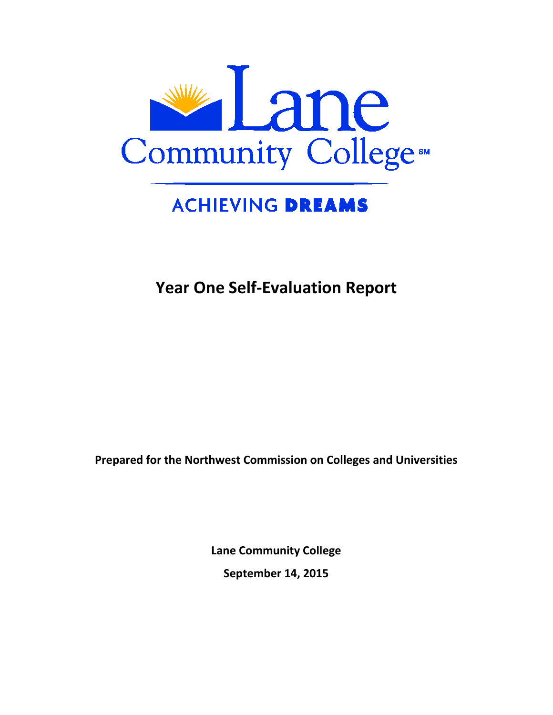

# **ACHIEVING DREAMS**

**Year One Self-Evaluation Report**

**Prepared for the Northwest Commission on Colleges and Universities**

**Lane Community College September 14, 2015**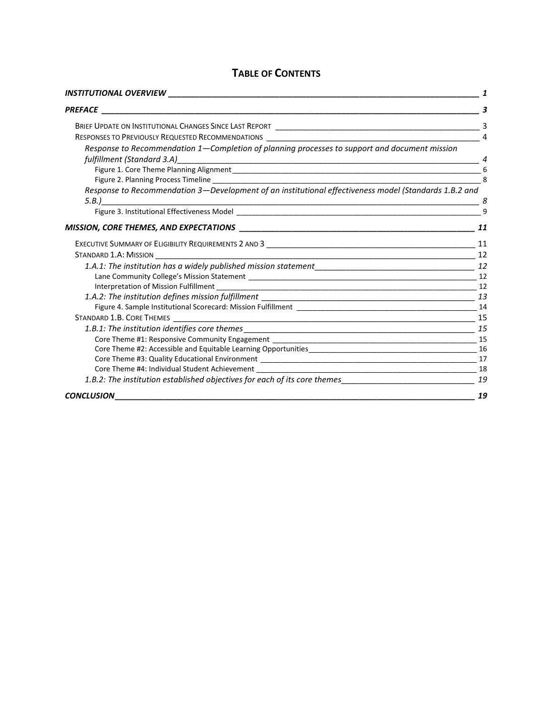# **TABLE OF CONTENTS**

| INSTITUTIONAL OVERVIEW NATIONAL AND RELATIONSHIPS AND RELATIONSHIPS AND RELATIONSHIPS AND RELATIONSHIPS AND RE |                |
|----------------------------------------------------------------------------------------------------------------|----------------|
| PREFACE                                                                                                        |                |
|                                                                                                                |                |
|                                                                                                                | $\overline{4}$ |
| Response to Recommendation 1-Completion of planning processes to support and document mission                  |                |
| fulfillment (Standard 3.A)                                                                                     |                |
|                                                                                                                |                |
|                                                                                                                |                |
| Response to Recommendation 3-Development of an institutional effectiveness model (Standards 1.B.2 and          |                |
|                                                                                                                |                |
|                                                                                                                |                |
|                                                                                                                |                |
|                                                                                                                |                |
|                                                                                                                | 12             |
|                                                                                                                |                |
|                                                                                                                |                |
|                                                                                                                |                |
|                                                                                                                |                |
|                                                                                                                |                |
|                                                                                                                |                |
|                                                                                                                |                |
|                                                                                                                |                |
|                                                                                                                |                |
|                                                                                                                |                |
|                                                                                                                |                |
| 19 19. 1.B.2: The institution established objectives for each of its core themes                               |                |
| <b>CONCLUSION</b>                                                                                              | 19             |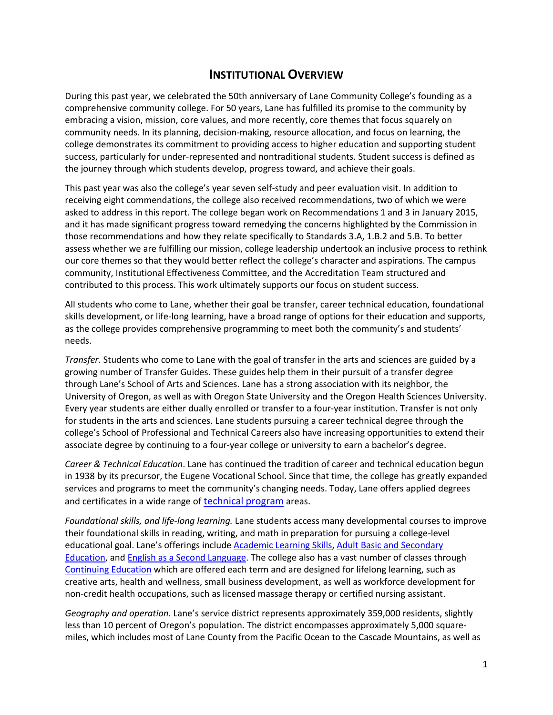# **INSTITUTIONAL OVERVIEW**

<span id="page-2-0"></span>During this past year, we celebrated the 50th anniversary of Lane Community College's founding as a comprehensive community college. For 50 years, Lane has fulfilled its promise to the community by embracing a vision, mission, core values, and more recently, core themes that focus squarely on community needs. In its planning, decision-making, resource allocation, and focus on learning, the college demonstrates its commitment to providing access to higher education and supporting student success, particularly for under-represented and nontraditional students. Student success is defined as the journey through which students develop, progress toward, and achieve their goals.

This past year was also the college's year seven self-study and peer evaluation visit. In addition to receiving eight commendations, the college also received recommendations, two of which we were asked to address in this report. The college began work on Recommendations 1 and 3 in January 2015, and it has made significant progress toward remedying the concerns highlighted by the Commission in those recommendations and how they relate specifically to Standards 3.A, 1.B.2 and 5.B. To better assess whether we are fulfilling our mission, college leadership undertook an inclusive process to rethink our core themes so that they would better reflect the college's character and aspirations. The campus community, Institutional Effectiveness Committee, and the Accreditation Team structured and contributed to this process. This work ultimately supports our focus on student success.

All students who come to Lane, whether their goal be transfer, career technical education, foundational skills development, or life-long learning, have a broad range of options for their education and supports, as the college provides comprehensive programming to meet both the community's and students' needs.

*Transfer.* Students who come to Lane with the goal of transfer in the arts and sciences are guided by a growing number of Transfer Guides. These guides help them in their pursuit of a transfer degree through Lane's School of Arts and Sciences. Lane has a strong association with its neighbor, the University of Oregon, as well as with Oregon State University and the Oregon Health Sciences University. Every year students are either dually enrolled or transfer to a four-year institution. Transfer is not only for students in the arts and sciences. Lane students pursuing a career technical degree through the college's School of Professional and Technical Careers also have increasing opportunities to extend their associate degree by continuing to a four-year college or university to earn a bachelor's degree.

*Career & Technical Education*. Lane has continued the tradition of career and technical education begun in 1938 by its precursor, the Eugene Vocational School. Since that time, the college has greatly expanded services and programs to meet the community's changing needs. Today, Lane offers applied degrees and certificates in a wide range o[f technical program](http://www.lanecc.edu/collegecatalog/career-and-technical-programs) areas.

*Foundational skills, and life-long learning.* Lane students access many developmental courses to improve their foundational skills in reading, writing, and math in preparation for pursuing a college-level educational goal. Lane's offerings include [Academic Learning Skills,](https://www.lanecc.edu/als) Adult Basic and Secondary [Education,](https://www.lanecc.edu/abse) and [English as a Second Language.](https://www.lanecc.edu/esl) The college also has a vast number of classes through [Continuing Education](https://www.lanecc.edu/ce) which are offered each term and are designed for lifelong learning, such as creative arts, health and wellness, small business development, as well as workforce development for non-credit health occupations, such as licensed massage therapy or certified nursing assistant.

*Geography and operation.* Lane's service district represents approximately 359,000 residents, slightly less than 10 percent of Oregon's population. The district encompasses approximately 5,000 squaremiles, which includes most of Lane County from the Pacific Ocean to the Cascade Mountains, as well as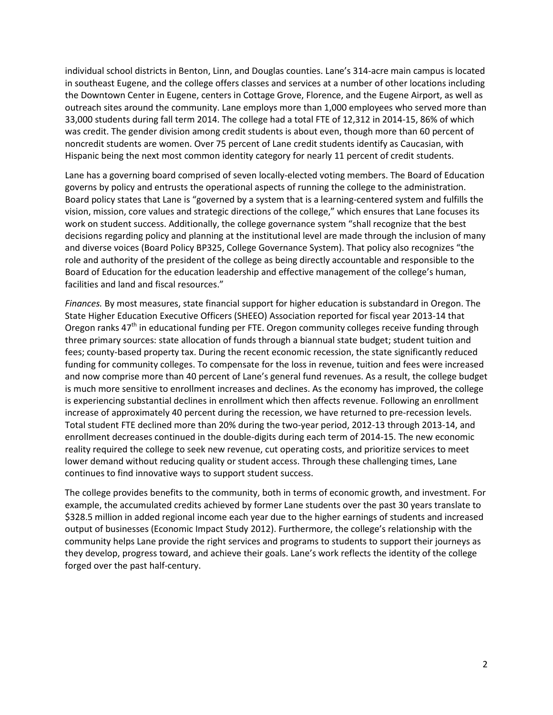individual school districts in Benton, Linn, and Douglas counties. Lane's 314-acre main campus is located in southeast Eugene, and the college offers classes and services at a number of other locations including the Downtown Center in Eugene, centers in Cottage Grove, Florence, and the Eugene Airport, as well as outreach sites around the community. Lane employs more than 1,000 employees who served more than 33,000 students during fall term 2014. The college had a total FTE of 12,312 in 2014-15, 86% of which was credit. The gender division among credit students is about even, though more than 60 percent of noncredit students are women. Over 75 percent of Lane credit students identify as Caucasian, with Hispanic being the next most common identity category for nearly 11 percent of credit students.

Lane has a governing board comprised of seven locally-elected voting members. The Board of Education governs by policy and entrusts the operational aspects of running the college to the administration. Board policy states that Lane is "governed by a system that is a learning-centered system and fulfills the vision, mission, core values and strategic directions of the college," which ensures that Lane focuses its work on student success. Additionally, the college governance system "shall recognize that the best decisions regarding policy and planning at the institutional level are made through the inclusion of many and diverse voices (Board Policy BP325, College Governance System). That policy also recognizes "the role and authority of the president of the college as being directly accountable and responsible to the Board of Education for the education leadership and effective management of the college's human, facilities and land and fiscal resources."

*Finances.* By most measures, state financial support for higher education is substandard in Oregon. The State Higher Education Executive Officers (SHEEO) Association reported for fiscal year 2013-14 that Oregon ranks 47<sup>th</sup> in educational funding per FTE. Oregon community colleges receive funding through three primary sources: state allocation of funds through a biannual state budget; student tuition and fees; county-based property tax. During the recent economic recession, the state significantly reduced funding for community colleges. To compensate for the loss in revenue, tuition and fees were increased and now comprise more than 40 percent of Lane's general fund revenues. As a result, the college budget is much more sensitive to enrollment increases and declines. As the economy has improved, the college is experiencing substantial declines in enrollment which then affects revenue. Following an enrollment increase of approximately 40 percent during the recession, we have returned to pre-recession levels. Total student FTE declined more than 20% during the two-year period, 2012-13 through 2013-14, and enrollment decreases continued in the double-digits during each term of 2014-15. The new economic reality required the college to seek new revenue, cut operating costs, and prioritize services to meet lower demand without reducing quality or student access. Through these challenging times, Lane continues to find innovative ways to support student success.

The college provides benefits to the community, both in terms of economic growth, and investment. For example, the accumulated credits achieved by former Lane students over the past 30 years translate to \$328.5 million in added regional income each year due to the higher earnings of students and increased output of businesses (Economic Impact Study 2012). Furthermore, the college's relationship with the community helps Lane provide the right services and programs to students to support their journeys as they develop, progress toward, and achieve their goals. Lane's work reflects the identity of the college forged over the past half-century.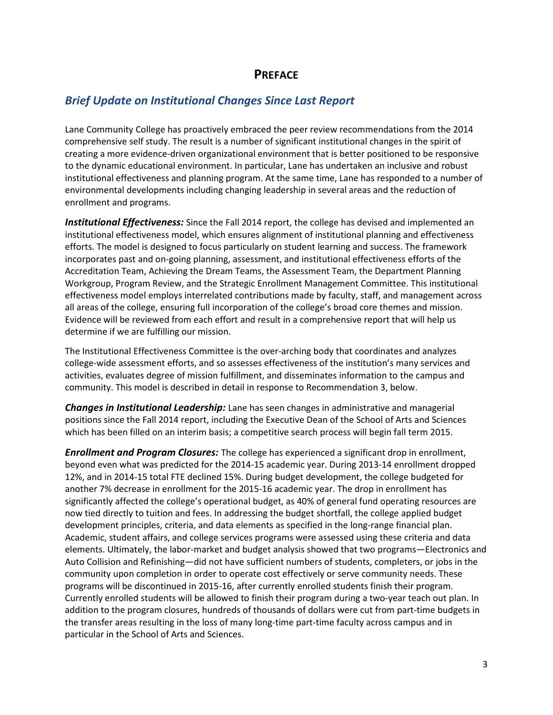# **PREFACE**

# <span id="page-4-1"></span><span id="page-4-0"></span>*Brief Update on Institutional Changes Since Last Report*

Lane Community College has proactively embraced the peer review recommendations from the 2014 comprehensive self study. The result is a number of significant institutional changes in the spirit of creating a more evidence-driven organizational environment that is better positioned to be responsive to the dynamic educational environment. In particular, Lane has undertaken an inclusive and robust institutional effectiveness and planning program. At the same time, Lane has responded to a number of environmental developments including changing leadership in several areas and the reduction of enrollment and programs.

*Institutional Effectiveness:* Since the Fall 2014 report, the college has devised and implemented an institutional effectiveness model, which ensures alignment of institutional planning and effectiveness efforts. The model is designed to focus particularly on student learning and success. The framework incorporates past and on-going planning, assessment, and institutional effectiveness efforts of the Accreditation Team, Achieving the Dream Teams, the Assessment Team, the Department Planning Workgroup, Program Review, and the Strategic Enrollment Management Committee. This institutional effectiveness model employs interrelated contributions made by faculty, staff, and management across all areas of the college, ensuring full incorporation of the college's broad core themes and mission. Evidence will be reviewed from each effort and result in a comprehensive report that will help us determine if we are fulfilling our mission.

The Institutional Effectiveness Committee is the over-arching body that coordinates and analyzes college-wide assessment efforts, and so assesses effectiveness of the institution's many services and activities, evaluates degree of mission fulfillment, and disseminates information to the campus and community. This model is described in detail in response to Recommendation 3, below.

*Changes in Institutional Leadership:* Lane has seen changes in administrative and managerial positions since the Fall 2014 report, including the Executive Dean of the School of Arts and Sciences which has been filled on an interim basis; a competitive search process will begin fall term 2015.

*Enrollment and Program Closures:* The college has experienced a significant drop in enrollment, beyond even what was predicted for the 2014-15 academic year. During 2013-14 enrollment dropped 12%, and in 2014-15 total FTE declined 15%. During budget development, the college budgeted for another 7% decrease in enrollment for the 2015-16 academic year. The drop in enrollment has significantly affected the college's operational budget, as 40% of general fund operating resources are now tied directly to tuition and fees. In addressing the budget shortfall, the college applied budget development principles, criteria, and data elements as specified in the long-range financial plan. Academic, student affairs, and college services programs were assessed using these criteria and data elements. Ultimately, the labor-market and budget analysis showed that two programs—Electronics and Auto Collision and Refinishing—did not have sufficient numbers of students, completers, or jobs in the community upon completion in order to operate cost effectively or serve community needs. These programs will be discontinued in 2015-16, after currently enrolled students finish their program. Currently enrolled students will be allowed to finish their program during a two-year teach out plan. In addition to the program closures, hundreds of thousands of dollars were cut from part-time budgets in the transfer areas resulting in the loss of many long-time part-time faculty across campus and in particular in the School of Arts and Sciences.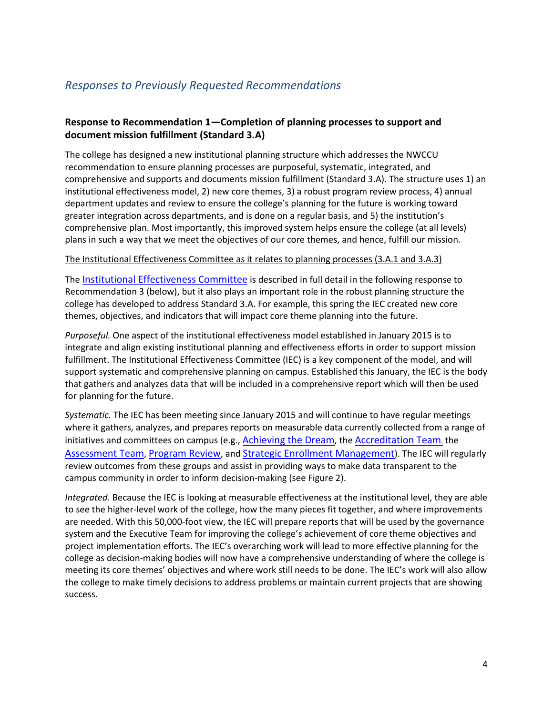# <span id="page-5-0"></span>*Responses to Previously Requested Recommendations*

## <span id="page-5-1"></span>**Response to Recommendation 1—Completion of planning processes to support and document mission fulfillment (Standard 3.A)**

The college has designed a new institutional planning structure which addresses the NWCCU recommendation to ensure planning processes are purposeful, systematic, integrated, and comprehensive and supports and documents mission fulfillment (Standard 3.A). The structure uses 1) an institutional effectiveness model, 2) new core themes, 3) a robust program review process, 4) annual department updates and review to ensure the college's planning for the future is working toward greater integration across departments, and is done on a regular basis, and 5) the institution's comprehensive plan. Most importantly, this improved system helps ensure the college (at all levels) plans in such a way that we meet the objectives of our core themes, and hence, fulfill our mission.

#### The Institutional Effectiveness Committee as it relates to planning processes (3.A.1 and 3.A.3)

The [Institutional Effectiveness Committee](https://www.lanecc.edu/institutionaleffectiveness/institutional-effectiveness-committee) is described in full detail in the following response to Recommendation 3 (below), but it also plays an important role in the robust planning structure the college has developed to address Standard 3.A. For example, this spring the IEC created new core themes, objectives, and indicators that will impact core theme planning into the future.

*Purposeful.* One aspect of the institutional effectiveness model established in January 2015 is to integrate and align existing institutional planning and effectiveness efforts in order to support mission fulfillment. The Institutional Effectiveness Committee (IEC) is a key component of the model, and will support systematic and comprehensive planning on campus. Established this January, the IEC is the body that gathers and analyzes data that will be included in a comprehensive report which will then be used for planning for the future.

*Systematic.* The IEC has been meeting since January 2015 and will continue to have regular meetings where it gathers, analyzes, and prepares reports on measurable data currently collected from a range of initiatives and committees on campus (e.g.[, Achieving the Dream,](https://blogs.lanecc.edu/studentsuccess/our-work/atd-overview/) the [Accreditation Team](https://www.lanecc.edu/accreditation), the [Assessment Team,](https://www.lanecc.edu/assessment) [Program Review,](https://www.lanecc.edu/deptplanning/planning-workgroup) and [Strategic Enrollment Management\)](https://www.lanecc.edu/sem). The IEC will regularly review outcomes from these groups and assist in providing ways to make data transparent to the campus community in order to inform decision-making (see Figure 2).

*Integrated.* Because the IEC is looking at measurable effectiveness at the institutional level, they are able to see the higher-level work of the college, how the many pieces fit together, and where improvements are needed. With this 50,000-foot view, the IEC will prepare reports that will be used by the governance system and the Executive Team for improving the college's achievement of core theme objectives and project implementation efforts. The IEC's overarching work will lead to more effective planning for the college as decision-making bodies will now have a comprehensive understanding of where the college is meeting its core themes' objectives and where work still needs to be done. The IEC's work will also allow the college to make timely decisions to address problems or maintain current projects that are showing success.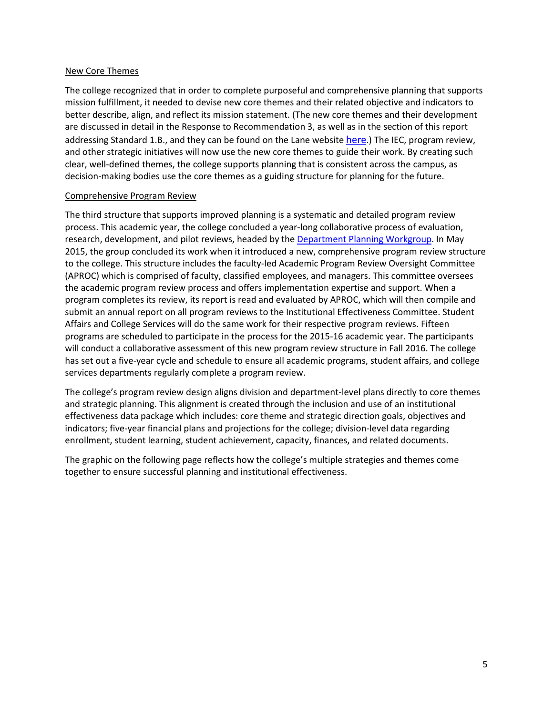#### New Core Themes

The college recognized that in order to complete purposeful and comprehensive planning that supports mission fulfillment, it needed to devise new core themes and their related objective and indicators to better describe, align, and reflect its mission statement. (The new core themes and their development are discussed in detail in the Response to Recommendation 3, as well as in the section of this report addressing Standard 1.B., and they can be found on the Lane website [here.](https://www.lanecc.edu/accreditation/core-themes)) The IEC, program review, and other strategic initiatives will now use the new core themes to guide their work. By creating such clear, well-defined themes, the college supports planning that is consistent across the campus, as decision-making bodies use the core themes as a guiding structure for planning for the future.

#### Comprehensive Program Review

The third structure that supports improved planning is a systematic and detailed program review process. This academic year, the college concluded a year-long collaborative process of evaluation, research, development, and pilot reviews, headed by the [Department Planning Workgroup.](https://www.lanecc.edu/deptplanning/planning-workgroup) In May 2015, the group concluded its work when it introduced a new, comprehensive program review structure to the college. This structure includes the faculty-led Academic Program Review Oversight Committee (APROC) which is comprised of faculty, classified employees, and managers. This committee oversees the academic program review process and offers implementation expertise and support. When a program completes its review, its report is read and evaluated by APROC, which will then compile and submit an annual report on all program reviews to the Institutional Effectiveness Committee. Student Affairs and College Services will do the same work for their respective program reviews. Fifteen programs are scheduled to participate in the process for the 2015-16 academic year. The participants will conduct a collaborative assessment of this new program review structure in Fall 2016. The college has set out a five-year cycle and schedule to ensure all academic programs, student affairs, and college services departments regularly complete a program review.

The college's program review design aligns division and department-level plans directly to core themes and strategic planning. This alignment is created through the inclusion and use of an institutional effectiveness data package which includes: core theme and strategic direction goals, objectives and indicators; five-year financial plans and projections for the college; division-level data regarding enrollment, student learning, student achievement, capacity, finances, and related documents.

The graphic on the following page reflects how the college's multiple strategies and themes come together to ensure successful planning and institutional effectiveness.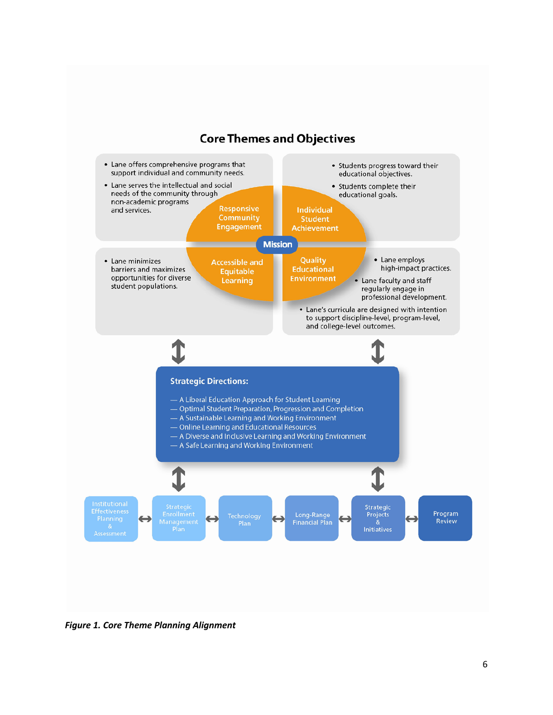

# **Core Themes and Objectives**

<span id="page-7-0"></span>*Figure 1. Core Theme Planning Alignment*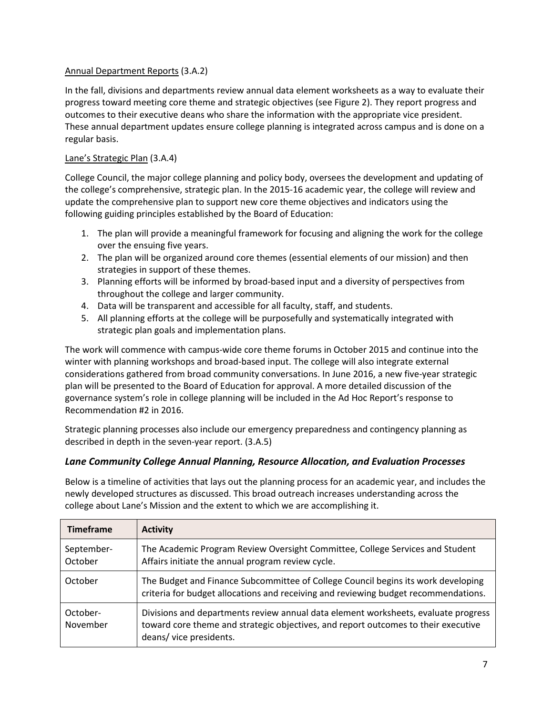## Annual Department Reports (3.A.2)

In the fall, divisions and departments review annual data element worksheets as a way to evaluate their progress toward meeting core theme and strategic objectives (see Figure 2). They report progress and outcomes to their executive deans who share the information with the appropriate vice president. These annual department updates ensure college planning is integrated across campus and is done on a regular basis.

## Lane's Strategic Plan (3.A.4)

College Council, the major college planning and policy body, oversees the development and updating of the college's comprehensive, strategic plan. In the 2015-16 academic year, the college will review and update the comprehensive plan to support new core theme objectives and indicators using the following guiding principles established by the Board of Education:

- 1. The plan will provide a meaningful framework for focusing and aligning the work for the college over the ensuing five years.
- 2. The plan will be organized around core themes (essential elements of our mission) and then strategies in support of these themes.
- 3. Planning efforts will be informed by broad-based input and a diversity of perspectives from throughout the college and larger community.
- 4. Data will be transparent and accessible for all faculty, staff, and students.
- 5. All planning efforts at the college will be purposefully and systematically integrated with strategic plan goals and implementation plans.

The work will commence with campus-wide core theme forums in October 2015 and continue into the winter with planning workshops and broad-based input. The college will also integrate external considerations gathered from broad community conversations. In June 2016, a new five-year strategic plan will be presented to the Board of Education for approval. A more detailed discussion of the governance system's role in college planning will be included in the Ad Hoc Report's response to Recommendation #2 in 2016.

Strategic planning processes also include our emergency preparedness and contingency planning as described in depth in the seven-year report. (3.A.5)

# *Lane Community College Annual Planning, Resource Allocation, and Evaluation Processes*

Below is a timeline of activities that lays out the planning process for an academic year, and includes the newly developed structures as discussed. This broad outreach increases understanding across the college about Lane's Mission and the extent to which we are accomplishing it.

| <b>Timeframe</b>      | <b>Activity</b>                                                                                                                                                                                    |
|-----------------------|----------------------------------------------------------------------------------------------------------------------------------------------------------------------------------------------------|
| September-<br>October | The Academic Program Review Oversight Committee, College Services and Student<br>Affairs initiate the annual program review cycle.                                                                 |
| October               | The Budget and Finance Subcommittee of College Council begins its work developing<br>criteria for budget allocations and receiving and reviewing budget recommendations.                           |
| October-<br>November  | Divisions and departments review annual data element worksheets, evaluate progress<br>toward core theme and strategic objectives, and report outcomes to their executive<br>deans/vice presidents. |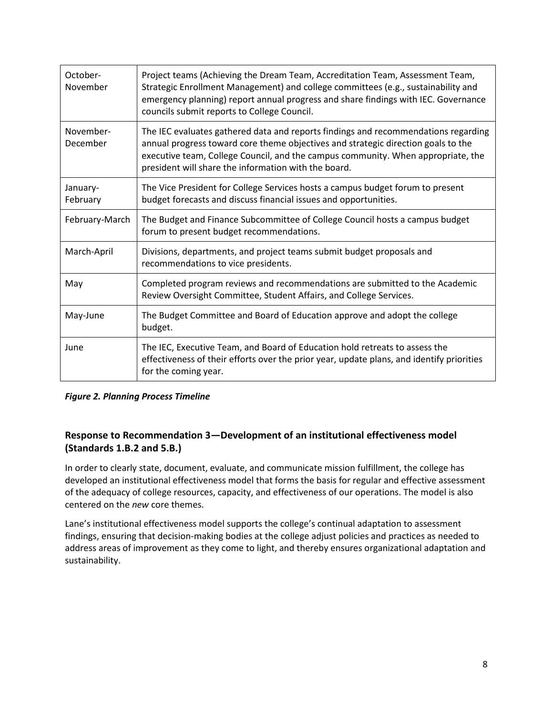| October-<br>November  | Project teams (Achieving the Dream Team, Accreditation Team, Assessment Team,<br>Strategic Enrollment Management) and college committees (e.g., sustainability and<br>emergency planning) report annual progress and share findings with IEC. Governance<br>councils submit reports to College Council.             |
|-----------------------|---------------------------------------------------------------------------------------------------------------------------------------------------------------------------------------------------------------------------------------------------------------------------------------------------------------------|
| November-<br>December | The IEC evaluates gathered data and reports findings and recommendations regarding<br>annual progress toward core theme objectives and strategic direction goals to the<br>executive team, College Council, and the campus community. When appropriate, the<br>president will share the information with the board. |
| January-<br>February  | The Vice President for College Services hosts a campus budget forum to present<br>budget forecasts and discuss financial issues and opportunities.                                                                                                                                                                  |
| February-March        | The Budget and Finance Subcommittee of College Council hosts a campus budget<br>forum to present budget recommendations.                                                                                                                                                                                            |
| March-April           | Divisions, departments, and project teams submit budget proposals and<br>recommendations to vice presidents.                                                                                                                                                                                                        |
| May                   | Completed program reviews and recommendations are submitted to the Academic<br>Review Oversight Committee, Student Affairs, and College Services.                                                                                                                                                                   |
| May-June              | The Budget Committee and Board of Education approve and adopt the college<br>budget.                                                                                                                                                                                                                                |
| June                  | The IEC, Executive Team, and Board of Education hold retreats to assess the<br>effectiveness of their efforts over the prior year, update plans, and identify priorities<br>for the coming year.                                                                                                                    |

## <span id="page-9-0"></span>*Figure 2. Planning Process Timeline*

# <span id="page-9-1"></span>**Response to Recommendation 3—Development of an institutional effectiveness model (Standards 1.B.2 and 5.B.)**

In order to clearly state, document, evaluate, and communicate mission fulfillment, the college has developed an institutional effectiveness model that forms the basis for regular and effective assessment of the adequacy of college resources, capacity, and effectiveness of our operations. The model is also centered on the *new* core themes.

Lane's institutional effectiveness model supports the college's continual adaptation to assessment findings, ensuring that decision-making bodies at the college adjust policies and practices as needed to address areas of improvement as they come to light, and thereby ensures organizational adaptation and sustainability.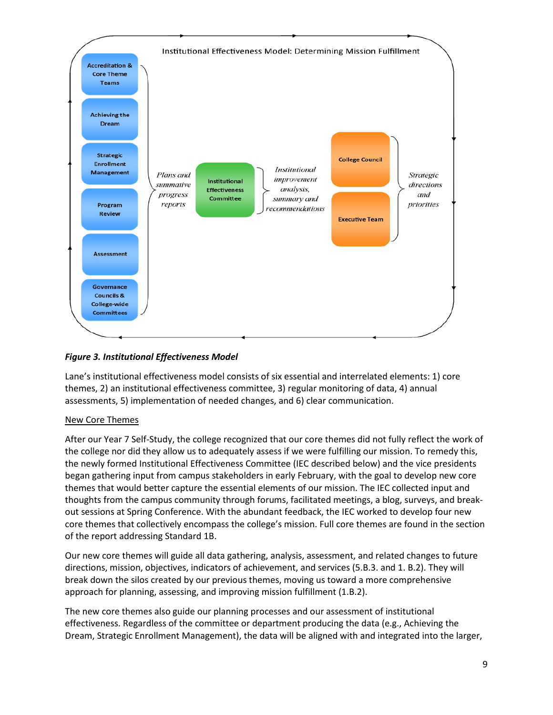

## <span id="page-10-0"></span>*Figure 3. Institutional Effectiveness Model*

Lane's institutional effectiveness model consists of six essential and interrelated elements: 1) core themes, 2) an institutional effectiveness committee, 3) regular monitoring of data, 4) annual assessments, 5) implementation of needed changes, and 6) clear communication.

#### New Core Themes

After our Year 7 Self-Study, the college recognized that our core themes did not fully reflect the work of the college nor did they allow us to adequately assess if we were fulfilling our mission. To remedy this, the newly formed Institutional Effectiveness Committee (IEC described below) and the vice presidents began gathering input from campus stakeholders in early February, with the goal to develop new core themes that would better capture the essential elements of our mission. The IEC collected input and thoughts from the campus community through forums, facilitated meetings, a blog, surveys, and breakout sessions at Spring Conference. With the abundant feedback, the IEC worked to develop four new core themes that collectively encompass the college's mission. Full core themes are found in the section of the report addressing Standard 1B.

Our new core themes will guide all data gathering, analysis, assessment, and related changes to future directions, mission, objectives, indicators of achievement, and services (5.B.3. and 1. B.2). They will break down the silos created by our previous themes, moving us toward a more comprehensive approach for planning, assessing, and improving mission fulfillment (1.B.2).

The new core themes also guide our planning processes and our assessment of institutional effectiveness. Regardless of the committee or department producing the data (e.g., Achieving the Dream, Strategic Enrollment Management), the data will be aligned with and integrated into the larger,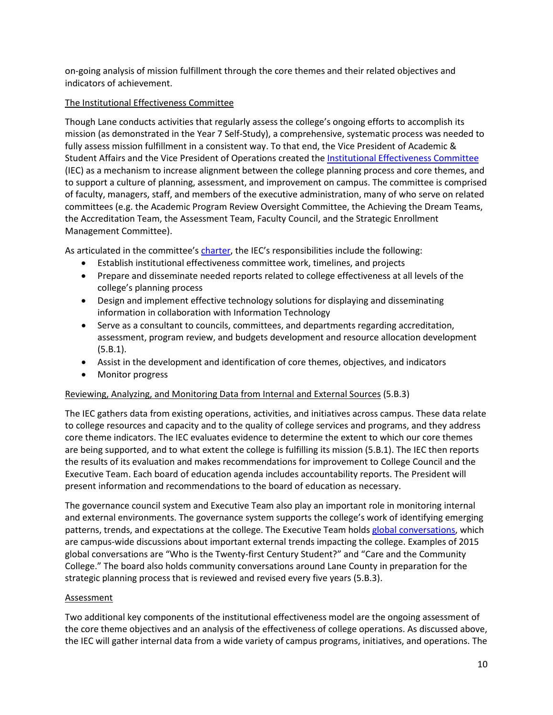on-going analysis of mission fulfillment through the core themes and their related objectives and indicators of achievement.

#### The Institutional Effectiveness Committee

Though Lane conducts activities that regularly assess the college's ongoing efforts to accomplish its mission (as demonstrated in the Year 7 Self-Study), a comprehensive, systematic process was needed to fully assess mission fulfillment in a consistent way. To that end, the Vice President of Academic & Student Affairs and the Vice President of Operations created the [Institutional Effectiveness Committee](https://www.lanecc.edu/institutionaleffectiveness/institutional-effectiveness-committee) (IEC) as a mechanism to increase alignment between the college planning process and core themes, and to support a culture of planning, assessment, and improvement on campus. The committee is comprised of faculty, managers, staff, and members of the executive administration, many of who serve on related committees (e.g. the Academic Program Review Oversight Committee, the Achieving the Dream Teams, the Accreditation Team, the Assessment Team, Faculty Council, and the Strategic Enrollment Management Committee).

As articulated in the committee'[s charter,](https://www.lanecc.edu/sites/default/files/institutionaleffectiveness/institutional_effectiveness_committee_charter.5-7-15.pdf) the IEC's responsibilities include the following:

- Establish institutional effectiveness committee work, timelines, and projects
- Prepare and disseminate needed reports related to college effectiveness at all levels of the college's planning process
- Design and implement effective technology solutions for displaying and disseminating information in collaboration with Information Technology
- Serve as a consultant to councils, committees, and departments regarding accreditation, assessment, program review, and budgets development and resource allocation development (5.B.1).
- Assist in the development and identification of core themes, objectives, and indicators
- Monitor progress

#### Reviewing, Analyzing, and Monitoring Data from Internal and External Sources (5.B.3)

The IEC gathers data from existing operations, activities, and initiatives across campus. These data relate to college resources and capacity and to the quality of college services and programs, and they address core theme indicators. The IEC evaluates evidence to determine the extent to which our core themes are being supported, and to what extent the college is fulfilling its mission (5.B.1). The IEC then reports the results of its evaluation and makes recommendations for improvement to College Council and the Executive Team. Each board of education agenda includes accountability reports. The President will present information and recommendations to the board of education as necessary.

The governance council system and Executive Team also play an important role in monitoring internal and external environments. The governance system supports the college's work of identifying emerging patterns, trends, and expectations at the college. The Executive Team holds [global conversations,](https://blogs.lanecc.edu/globalconversations/) which are campus-wide discussions about important external trends impacting the college. Examples of 2015 global conversations are "Who is the Twenty-first Century Student?" and "Care and the Community College." The board also holds community conversations around Lane County in preparation for the strategic planning process that is reviewed and revised every five years (5.B.3).

#### Assessment

Two additional key components of the institutional effectiveness model are the ongoing assessment of the core theme objectives and an analysis of the effectiveness of college operations. As discussed above, the IEC will gather internal data from a wide variety of campus programs, initiatives, and operations. The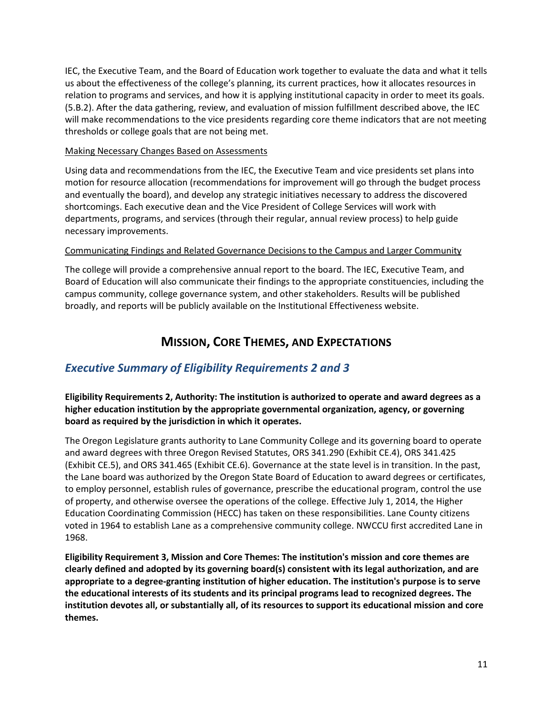IEC, the Executive Team, and the Board of Education work together to evaluate the data and what it tells us about the effectiveness of the college's planning, its current practices, how it allocates resources in relation to programs and services, and how it is applying institutional capacity in order to meet its goals. (5.B.2). After the data gathering, review, and evaluation of mission fulfillment described above, the IEC will make recommendations to the vice presidents regarding core theme indicators that are not meeting thresholds or college goals that are not being met.

#### Making Necessary Changes Based on Assessments

Using data and recommendations from the IEC, the Executive Team and vice presidents set plans into motion for resource allocation (recommendations for improvement will go through the budget process and eventually the board), and develop any strategic initiatives necessary to address the discovered shortcomings. Each executive dean and the Vice President of College Services will work with departments, programs, and services (through their regular, annual review process) to help guide necessary improvements.

#### Communicating Findings and Related Governance Decisions to the Campus and Larger Community

The college will provide a comprehensive annual report to the board. The IEC, Executive Team, and Board of Education will also communicate their findings to the appropriate constituencies, including the campus community, college governance system, and other stakeholders. Results will be published broadly, and reports will be publicly available on the Institutional Effectiveness website.

# **MISSION, CORE THEMES, AND EXPECTATIONS**

# <span id="page-12-1"></span><span id="page-12-0"></span>*Executive Summary of Eligibility Requirements 2 and 3*

#### **Eligibility Requirements 2, Authority: The institution is authorized to operate and award degrees as a higher education institution by the appropriate governmental organization, agency, or governing board as required by the jurisdiction in which it operates.**

The Oregon Legislature grants authority to Lane Community College and its governing board to operate and award degrees with three Oregon Revised Statutes, ORS 341.290 (Exhibit CE.4), ORS 341.425 (Exhibit CE.5), and ORS 341.465 (Exhibit CE.6). Governance at the state level is in transition. In the past, the Lane board was authorized by the Oregon State Board of Education to award degrees or certificates, to employ personnel, establish rules of governance, prescribe the educational program, control the use of property, and otherwise oversee the operations of the college. Effective July 1, 2014, the Higher Education Coordinating Commission (HECC) has taken on these responsibilities. Lane County citizens voted in 1964 to establish Lane as a comprehensive community college. NWCCU first accredited Lane in 1968.

**Eligibility Requirement 3, Mission and Core Themes: The institution's mission and core themes are clearly defined and adopted by its governing board(s) consistent with its legal authorization, and are appropriate to a degree-granting institution of higher education. The institution's purpose is to serve the educational interests of its students and its principal programs lead to recognized degrees. The institution devotes all, or substantially all, of its resources to support its educational mission and core themes.**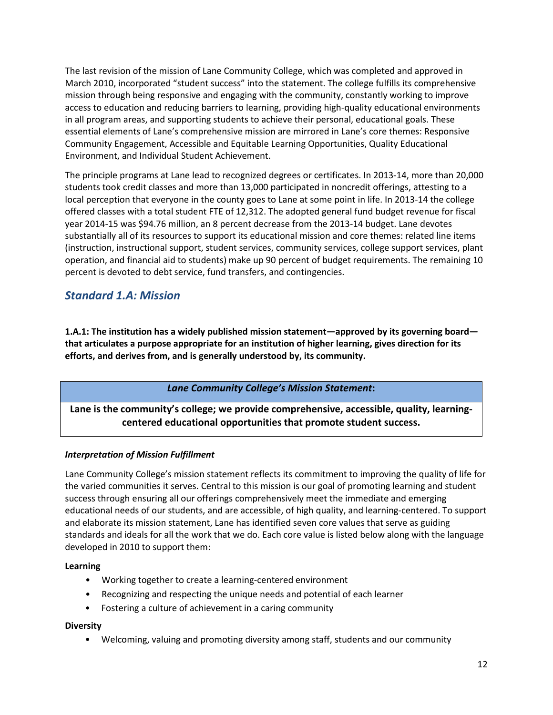The last revision of the mission of Lane Community College, which was completed and approved in March 2010, incorporated "student success" into the statement. The college fulfills its comprehensive mission through being responsive and engaging with the community, constantly working to improve access to education and reducing barriers to learning, providing high-quality educational environments in all program areas, and supporting students to achieve their personal, educational goals. These essential elements of Lane's comprehensive mission are mirrored in Lane's core themes: Responsive Community Engagement, Accessible and Equitable Learning Opportunities, Quality Educational Environment, and Individual Student Achievement.

The principle programs at Lane lead to recognized degrees or certificates. In 2013-14, more than 20,000 students took credit classes and more than 13,000 participated in noncredit offerings, attesting to a local perception that everyone in the county goes to Lane at some point in life. In 2013-14 the college offered classes with a total student FTE of 12,312. The adopted general fund budget revenue for fiscal year 2014-15 was \$94.76 million, an 8 percent decrease from the 2013-14 budget. Lane devotes substantially all of its resources to support its educational mission and core themes: related line items (instruction, instructional support, student services, community services, college support services, plant operation, and financial aid to students) make up 90 percent of budget requirements. The remaining 10 percent is devoted to debt service, fund transfers, and contingencies.

# <span id="page-13-0"></span>*Standard 1.A: Mission*

<span id="page-13-1"></span>**1.A.1: The institution has a widely published mission statement—approved by its governing board that articulates a purpose appropriate for an institution of higher learning, gives direction for its efforts, and derives from, and is generally understood by, its community.**

## *Lane Community College's Mission Statement***:**

<span id="page-13-2"></span>**Lane is the community's college; we provide comprehensive, accessible, quality, learningcentered educational opportunities that promote student success.**

## <span id="page-13-3"></span>*Interpretation of Mission Fulfillment*

Lane Community College's mission statement reflects its commitment to improving the quality of life for the varied communities it serves. Central to this mission is our goal of promoting learning and student success through ensuring all our offerings comprehensively meet the immediate and emerging educational needs of our students, and are accessible, of high quality, and learning-centered. To support and elaborate its mission statement, Lane has identified seven core values that serve as guiding standards and ideals for all the work that we do. Each core value is listed below along with the language developed in 2010 to support them:

## **Learning**

- Working together to create a learning-centered environment
- Recognizing and respecting the unique needs and potential of each learner
- Fostering a culture of achievement in a caring community

#### **Diversity**

• Welcoming, valuing and promoting diversity among staff, students and our community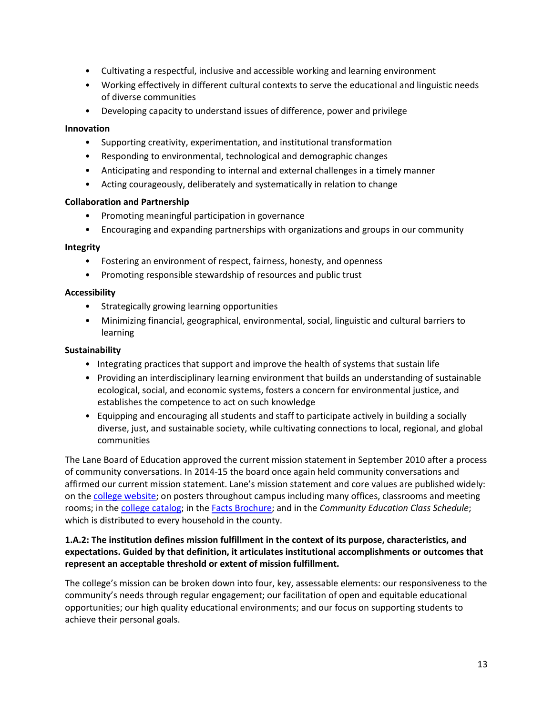- Cultivating a respectful, inclusive and accessible working and learning environment
- Working effectively in different cultural contexts to serve the educational and linguistic needs of diverse communities
- Developing capacity to understand issues of difference, power and privilege

#### **Innovation**

- Supporting creativity, experimentation, and institutional transformation
- Responding to environmental, technological and demographic changes
- Anticipating and responding to internal and external challenges in a timely manner
- Acting courageously, deliberately and systematically in relation to change

#### **Collaboration and Partnership**

- Promoting meaningful participation in governance
- Encouraging and expanding partnerships with organizations and groups in our community

#### **Integrity**

- Fostering an environment of respect, fairness, honesty, and openness
- Promoting responsible stewardship of resources and public trust

#### **Accessibility**

- Strategically growing learning opportunities
- Minimizing financial, geographical, environmental, social, linguistic and cultural barriers to learning

#### **Sustainability**

- Integrating practices that support and improve the health of systems that sustain life
- Providing an interdisciplinary learning environment that builds an understanding of sustainable ecological, social, and economic systems, fosters a concern for environmental justice, and establishes the competence to act on such knowledge
- Equipping and encouraging all students and staff to participate actively in building a socially diverse, just, and sustainable society, while cultivating connections to local, regional, and global communities

The Lane Board of Education approved the current mission statement in September 2010 after a process of community conversations. In 2014-15 the board once again held community conversations and affirmed our current mission statement. Lane's mission statement and core values are published widely: on th[e college website;](http://www.lanecc.edu/sites/default/files/center/cml-lccmission.pdf) on posters throughout campus including many offices, classrooms and meeting rooms; in the [college catalog;](http://www.lanecc.edu/sites/default/files/collegecatalog/1314catalog.pdf) in the Facts [Brochure;](https://www.lanecc.edu/research/ir/facts) and in the *Community Education Class Schedule*; which is distributed to every household in the county.

#### <span id="page-14-0"></span>**1.A.2: The institution defines mission fulfillment in the context of its purpose, characteristics, and expectations. Guided by that definition, it articulates institutional accomplishments or outcomes that represent an acceptable threshold or extent of mission fulfillment.**

The college's mission can be broken down into four, key, assessable elements: our responsiveness to the community's needs through regular engagement; our facilitation of open and equitable educational opportunities; our high quality educational environments; and our focus on supporting students to achieve their personal goals.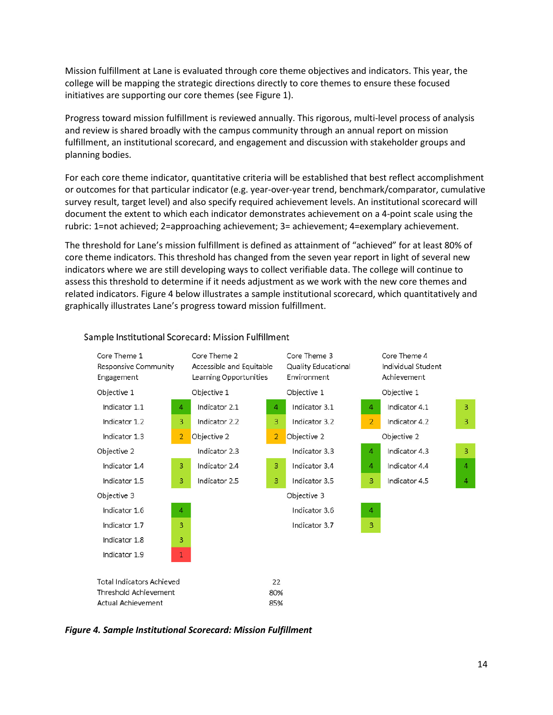Mission fulfillment at Lane is evaluated through core theme objectives and indicators. This year, the college will be mapping the strategic directions directly to core themes to ensure these focused initiatives are supporting our core themes (see Figure 1).

Progress toward mission fulfillment is reviewed annually. This rigorous, multi-level process of analysis and review is shared broadly with the campus community through an annual report on mission fulfillment, an institutional scorecard, and engagement and discussion with stakeholder groups and planning bodies.

For each core theme indicator, quantitative criteria will be established that best reflect accomplishment or outcomes for that particular indicator (e.g. year-over-year trend, benchmark/comparator, cumulative survey result, target level) and also specify required achievement levels. An institutional scorecard will document the extent to which each indicator demonstrates achievement on a 4-point scale using the rubric: 1=not achieved; 2=approaching achievement; 3= achievement; 4=exemplary achievement.

The threshold for Lane's mission fulfillment is defined as attainment of "achieved" for at least 80% of core theme indicators. This threshold has changed from the seven year report in light of several new indicators where we are still developing ways to collect verifiable data. The college will continue to assess this threshold to determine if it needs adjustment as we work with the new core themes and related indicators. Figure 4 below illustrates a sample institutional scorecard, which quantitatively and graphically illustrates Lane's progress toward mission fulfillment.



#### Sample Institutional Scorecard: Mission Fulfillment

<span id="page-15-0"></span>*Figure 4. Sample Institutional Scorecard: Mission Fulfillment*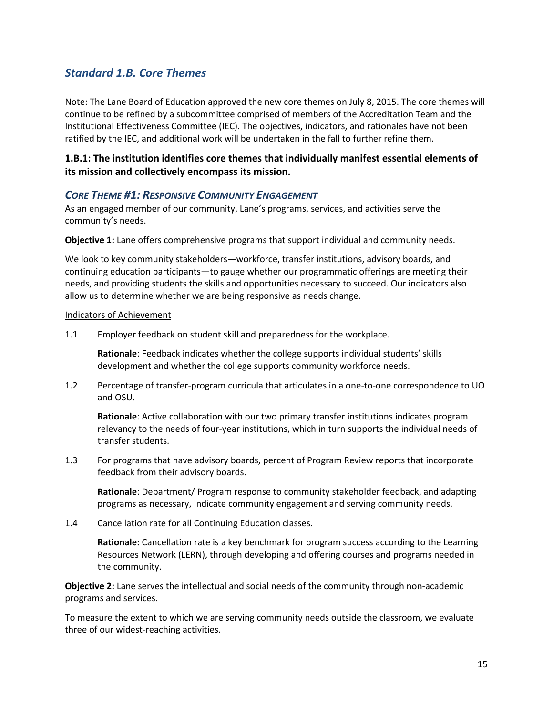# <span id="page-16-0"></span>*Standard 1.B. Core Themes*

Note: The Lane Board of Education approved the new core themes on July 8, 2015. The core themes will continue to be refined by a subcommittee comprised of members of the Accreditation Team and the Institutional Effectiveness Committee (IEC). The objectives, indicators, and rationales have not been ratified by the IEC, and additional work will be undertaken in the fall to further refine them.

## <span id="page-16-1"></span>**1.B.1: The institution identifies core themes that individually manifest essential elements of its mission and collectively encompass its mission.**

#### <span id="page-16-2"></span>*CORE THEME #1: RESPONSIVE COMMUNITY ENGAGEMENT*

As an engaged member of our community, Lane's programs, services, and activities serve the community's needs.

**Objective 1:** Lane offers comprehensive programs that support individual and community needs.

We look to key community stakeholders—workforce, transfer institutions, advisory boards, and continuing education participants—to gauge whether our programmatic offerings are meeting their needs, and providing students the skills and opportunities necessary to succeed. Our indicators also allow us to determine whether we are being responsive as needs change.

#### Indicators of Achievement

1.1 Employer feedback on student skill and preparedness for the workplace.

**Rationale**: Feedback indicates whether the college supports individual students' skills development and whether the college supports community workforce needs.

1.2 Percentage of transfer-program curricula that articulates in a one-to-one correspondence to UO and OSU.

**Rationale**: Active collaboration with our two primary transfer institutions indicates program relevancy to the needs of four-year institutions, which in turn supports the individual needs of transfer students.

1.3 For programs that have advisory boards, percent of Program Review reports that incorporate feedback from their advisory boards.

**Rationale**: Department/ Program response to community stakeholder feedback, and adapting programs as necessary, indicate community engagement and serving community needs.

1.4 Cancellation rate for all Continuing Education classes.

**Rationale:** Cancellation rate is a key benchmark for program success according to the Learning Resources Network (LERN), through developing and offering courses and programs needed in the community.

**Objective 2:** Lane serves the intellectual and social needs of the community through non-academic programs and services.

To measure the extent to which we are serving community needs outside the classroom, we evaluate three of our widest-reaching activities.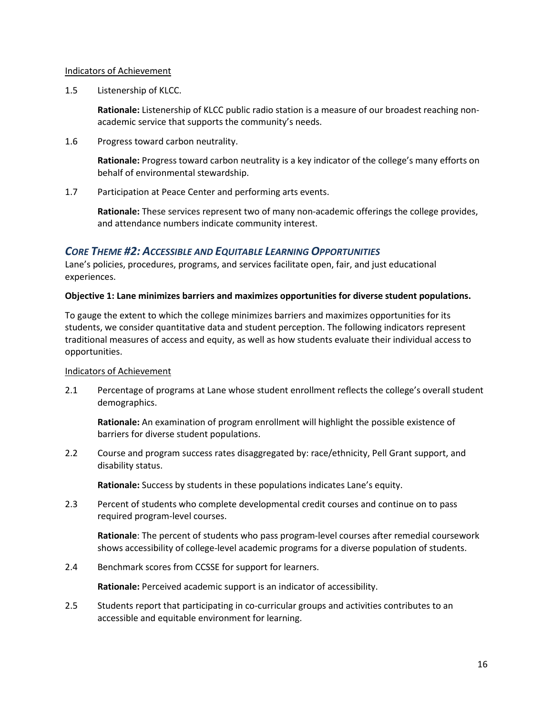#### Indicators of Achievement

1.5 Listenership of KLCC.

**Rationale:** Listenership of KLCC public radio station is a measure of our broadest reaching nonacademic service that supports the community's needs.

1.6 Progress toward carbon neutrality.

**Rationale:** Progress toward carbon neutrality is a key indicator of the college's many efforts on behalf of environmental stewardship.

1.7 Participation at Peace Center and performing arts events.

**Rationale:** These services represent two of many non-academic offerings the college provides, and attendance numbers indicate community interest.

# <span id="page-17-0"></span>*CORE THEME #2: ACCESSIBLE AND EQUITABLE LEARNING OPPORTUNITIES*

Lane's policies, procedures, programs, and services facilitate open, fair, and just educational experiences.

#### **Objective 1: Lane minimizes barriers and maximizes opportunities for diverse student populations.**

To gauge the extent to which the college minimizes barriers and maximizes opportunities for its students, we consider quantitative data and student perception. The following indicators represent traditional measures of access and equity, as well as how students evaluate their individual access to opportunities.

#### Indicators of Achievement

2.1 Percentage of programs at Lane whose student enrollment reflects the college's overall student demographics.

**Rationale:** An examination of program enrollment will highlight the possible existence of barriers for diverse student populations.

2.2 Course and program success rates disaggregated by: race/ethnicity, Pell Grant support, and disability status.

**Rationale:** Success by students in these populations indicates Lane's equity.

2.3 Percent of students who complete developmental credit courses and continue on to pass required program-level courses.

**Rationale**: The percent of students who pass program-level courses after remedial coursework shows accessibility of college-level academic programs for a diverse population of students.

2.4 Benchmark scores from CCSSE for support for learners.

**Rationale:** Perceived academic support is an indicator of accessibility.

2.5 Students report that participating in co-curricular groups and activities contributes to an accessible and equitable environment for learning.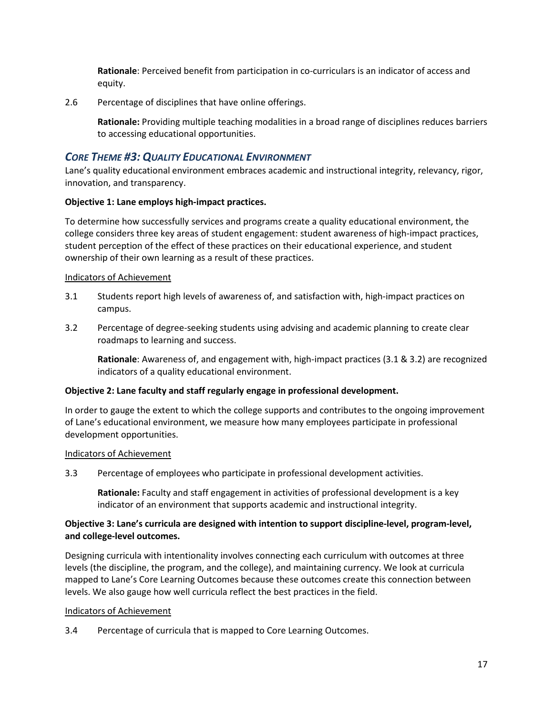**Rationale**: Perceived benefit from participation in co-curriculars is an indicator of access and equity.

2.6 Percentage of disciplines that have online offerings.

**Rationale:** Providing multiple teaching modalities in a broad range of disciplines reduces barriers to accessing educational opportunities.

# <span id="page-18-0"></span>*CORE THEME #3: QUALITY EDUCATIONAL ENVIRONMENT*

Lane's quality educational environment embraces academic and instructional integrity, relevancy, rigor, innovation, and transparency.

#### **Objective 1: Lane employs high-impact practices.**

To determine how successfully services and programs create a quality educational environment, the college considers three key areas of student engagement: student awareness of high-impact practices, student perception of the effect of these practices on their educational experience, and student ownership of their own learning as a result of these practices.

#### Indicators of Achievement

- 3.1 Students report high levels of awareness of, and satisfaction with, high-impact practices on campus.
- 3.2 Percentage of degree-seeking students using advising and academic planning to create clear roadmaps to learning and success.

**Rationale**: Awareness of, and engagement with, high-impact practices (3.1 & 3.2) are recognized indicators of a quality educational environment.

#### **Objective 2: Lane faculty and staff regularly engage in professional development.**

In order to gauge the extent to which the college supports and contributes to the ongoing improvement of Lane's educational environment, we measure how many employees participate in professional development opportunities.

#### Indicators of Achievement

3.3 Percentage of employees who participate in professional development activities.

**Rationale:** Faculty and staff engagement in activities of professional development is a key indicator of an environment that supports academic and instructional integrity.

#### **Objective 3: Lane's curricula are designed with intention to support discipline-level, program-level, and college-level outcomes.**

Designing curricula with intentionality involves connecting each curriculum with outcomes at three levels (the discipline, the program, and the college), and maintaining currency. We look at curricula mapped to Lane's Core Learning Outcomes because these outcomes create this connection between levels. We also gauge how well curricula reflect the best practices in the field.

#### Indicators of Achievement

3.4 Percentage of curricula that is mapped to Core Learning Outcomes.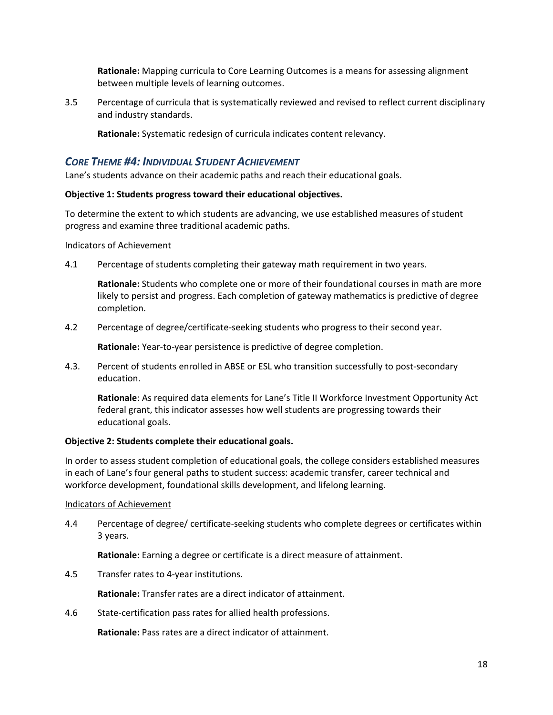**Rationale:** Mapping curricula to Core Learning Outcomes is a means for assessing alignment between multiple levels of learning outcomes.

3.5 Percentage of curricula that is systematically reviewed and revised to reflect current disciplinary and industry standards.

**Rationale:** Systematic redesign of curricula indicates content relevancy.

## <span id="page-19-0"></span>*CORE THEME #4: INDIVIDUAL STUDENT ACHIEVEMENT*

Lane's students advance on their academic paths and reach their educational goals.

#### **Objective 1: Students progress toward their educational objectives.**

To determine the extent to which students are advancing, we use established measures of student progress and examine three traditional academic paths.

#### Indicators of Achievement

4.1 Percentage of students completing their gateway math requirement in two years.

**Rationale:** Students who complete one or more of their foundational courses in math are more likely to persist and progress. Each completion of gateway mathematics is predictive of degree completion.

4.2 Percentage of degree/certificate-seeking students who progress to their second year.

**Rationale:** Year-to-year persistence is predictive of degree completion.

4.3. Percent of students enrolled in ABSE or ESL who transition successfully to post-secondary education.

**Rationale**: As required data elements for Lane's Title II Workforce Investment Opportunity Act federal grant, this indicator assesses how well students are progressing towards their educational goals.

#### **Objective 2: Students complete their educational goals.**

In order to assess student completion of educational goals, the college considers established measures in each of Lane's four general paths to student success: academic transfer, career technical and workforce development, foundational skills development, and lifelong learning.

#### Indicators of Achievement

4.4 Percentage of degree/ certificate-seeking students who complete degrees or certificates within 3 years.

**Rationale:** Earning a degree or certificate is a direct measure of attainment.

4.5 Transfer rates to 4-year institutions.

**Rationale:** Transfer rates are a direct indicator of attainment.

4.6 State-certification pass rates for allied health professions.

**Rationale:** Pass rates are a direct indicator of attainment.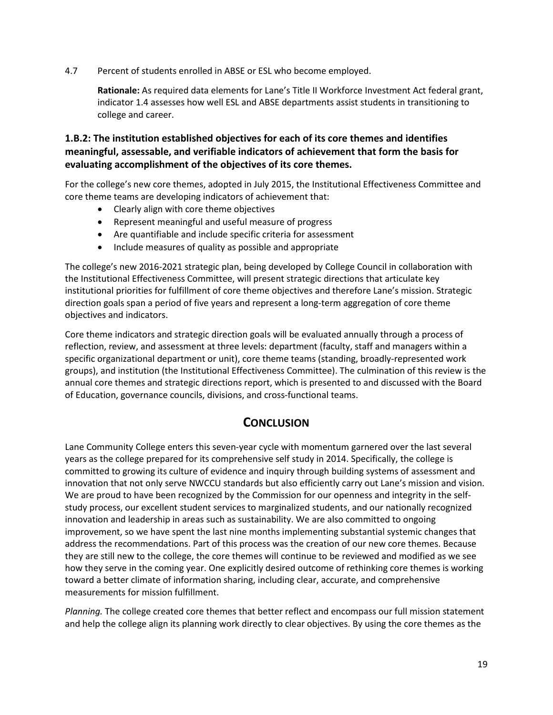4.7 Percent of students enrolled in ABSE or ESL who become employed.

**Rationale:** As required data elements for Lane's Title II Workforce Investment Act federal grant, indicator 1.4 assesses how well ESL and ABSE departments assist students in transitioning to college and career.

# <span id="page-20-0"></span>**1.B.2: The institution established objectives for each of its core themes and identifies meaningful, assessable, and verifiable indicators of achievement that form the basis for evaluating accomplishment of the objectives of its core themes.**

For the college's new core themes, adopted in July 2015, the Institutional Effectiveness Committee and core theme teams are developing indicators of achievement that:

- Clearly align with core theme objectives
- Represent meaningful and useful measure of progress
- Are quantifiable and include specific criteria for assessment
- Include measures of quality as possible and appropriate

The college's new 2016-2021 strategic plan, being developed by College Council in collaboration with the Institutional Effectiveness Committee, will present strategic directions that articulate key institutional priorities for fulfillment of core theme objectives and therefore Lane's mission. Strategic direction goals span a period of five years and represent a long-term aggregation of core theme objectives and indicators.

Core theme indicators and strategic direction goals will be evaluated annually through a process of reflection, review, and assessment at three levels: department (faculty, staff and managers within a specific organizational department or unit), core theme teams (standing, broadly-represented work groups), and institution (the Institutional Effectiveness Committee). The culmination of this review is the annual core themes and strategic directions report, which is presented to and discussed with the Board of Education, governance councils, divisions, and cross-functional teams.

# **CONCLUSION**

<span id="page-20-1"></span>Lane Community College enters this seven-year cycle with momentum garnered over the last several years as the college prepared for its comprehensive self study in 2014. Specifically, the college is committed to growing its culture of evidence and inquiry through building systems of assessment and innovation that not only serve NWCCU standards but also efficiently carry out Lane's mission and vision. We are proud to have been recognized by the Commission for our openness and integrity in the selfstudy process, our excellent student services to marginalized students, and our nationally recognized innovation and leadership in areas such as sustainability. We are also committed to ongoing improvement, so we have spent the last nine months implementing substantial systemic changes that address the recommendations. Part of this process was the creation of our new core themes. Because they are still new to the college, the core themes will continue to be reviewed and modified as we see how they serve in the coming year. One explicitly desired outcome of rethinking core themes is working toward a better climate of information sharing, including clear, accurate, and comprehensive measurements for mission fulfillment.

*Planning.* The college created core themes that better reflect and encompass our full mission statement and help the college align its planning work directly to clear objectives. By using the core themes as the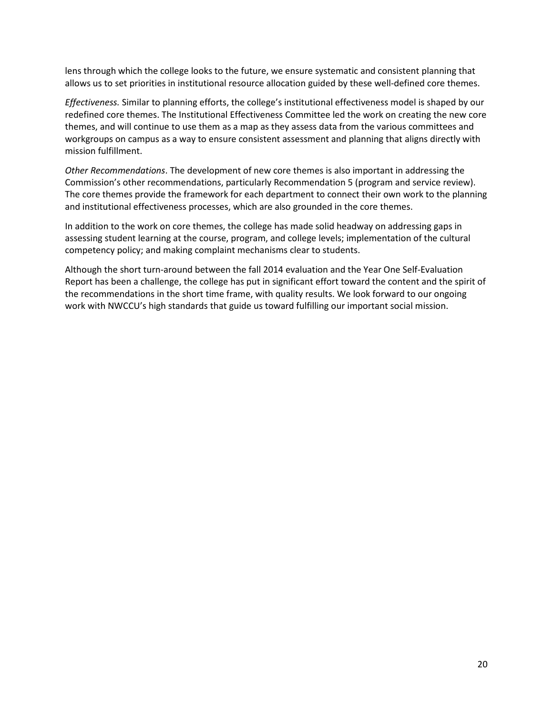lens through which the college looks to the future, we ensure systematic and consistent planning that allows us to set priorities in institutional resource allocation guided by these well-defined core themes.

*Effectiveness.* Similar to planning efforts, the college's institutional effectiveness model is shaped by our redefined core themes. The Institutional Effectiveness Committee led the work on creating the new core themes, and will continue to use them as a map as they assess data from the various committees and workgroups on campus as a way to ensure consistent assessment and planning that aligns directly with mission fulfillment.

*Other Recommendations*. The development of new core themes is also important in addressing the Commission's other recommendations, particularly Recommendation 5 (program and service review). The core themes provide the framework for each department to connect their own work to the planning and institutional effectiveness processes, which are also grounded in the core themes.

In addition to the work on core themes, the college has made solid headway on addressing gaps in assessing student learning at the course, program, and college levels; implementation of the cultural competency policy; and making complaint mechanisms clear to students.

Although the short turn-around between the fall 2014 evaluation and the Year One Self-Evaluation Report has been a challenge, the college has put in significant effort toward the content and the spirit of the recommendations in the short time frame, with quality results. We look forward to our ongoing work with NWCCU's high standards that guide us toward fulfilling our important social mission.